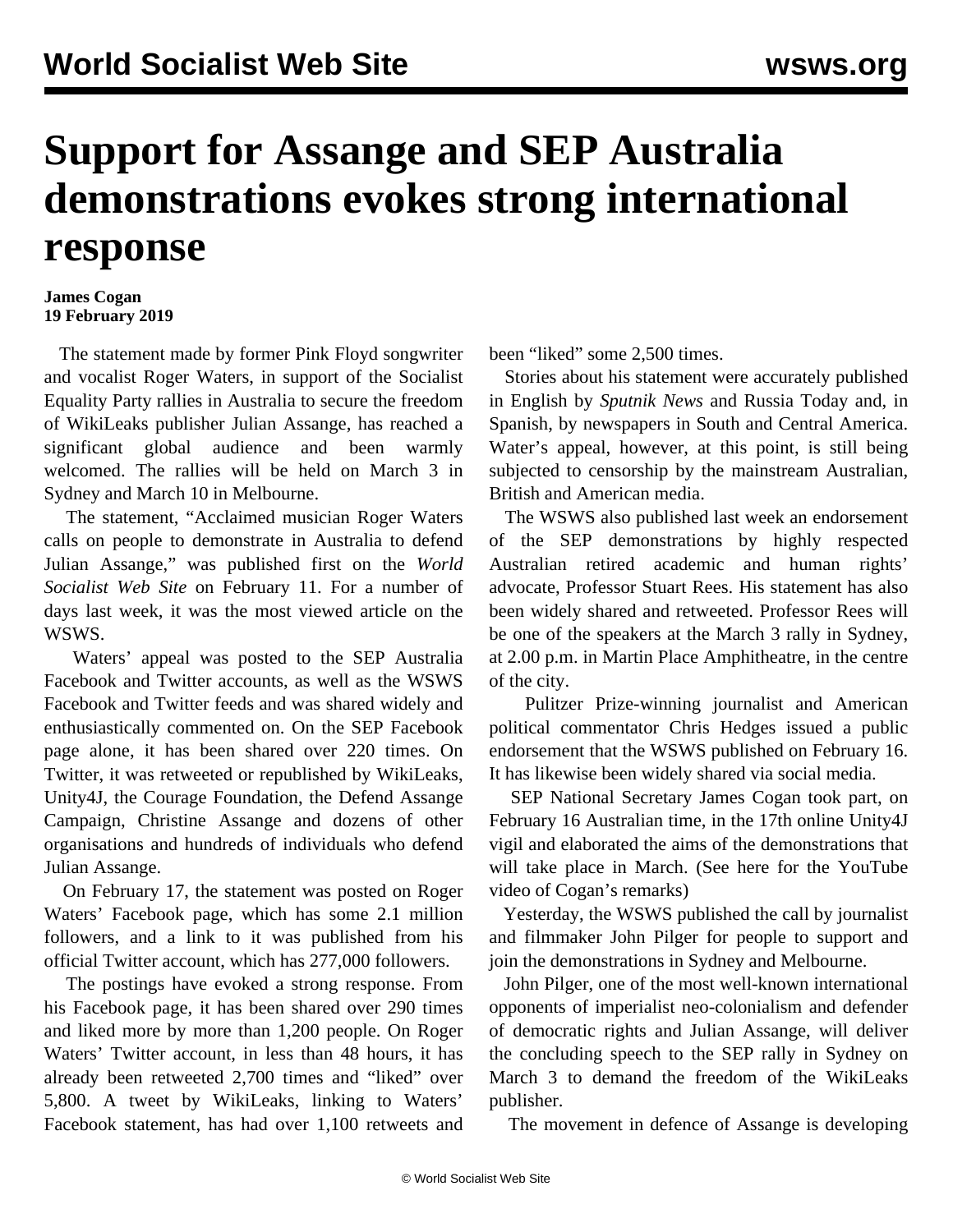## **Support for Assange and SEP Australia demonstrations evokes strong international response**

## **James Cogan 19 February 2019**

 The statement made by former Pink Floyd songwriter and vocalist Roger Waters, in support of the Socialist Equality Party rallies in Australia to secure the freedom of WikiLeaks publisher Julian Assange, has reached a significant global audience and been warmly welcomed. The [rallies](/en/articles/2019/01/25/demo-j25.html) will be held on March 3 in Sydney and March 10 in Melbourne.

 The statement, "[Acclaimed musician Roger Waters](/en/articles/2019/02/11/rwed-f11.html) [calls on people to demonstrate in Australia to defend](/en/articles/2019/02/11/rwed-f11.html) [Julian Assange,](/en/articles/2019/02/11/rwed-f11.html)" was published first on the *World Socialist Web Site* on February 11. For a number of days last week, it was the most viewed article on the WSWS.

 Waters' appeal was posted to the SEP Australia Facebook and Twitter accounts, as well as the WSWS Facebook and Twitter feeds and was shared widely and enthusiastically commented on. On the SEP Facebook page alone, it has been shared over 220 times. On Twitter, it was retweeted or republished by WikiLeaks, Unity4J, the Courage Foundation, the Defend Assange Campaign, Christine Assange and dozens of other organisations and hundreds of individuals who defend Julian Assange.

 On February 17, the statement was posted on Roger Waters' [Facebook page,](https://www.facebook.com/notes/roger-waters/julian-assange/2536797786334656/) which has some 2.1 million followers, and a link to it was published from his official Twitter account, which has 277,000 followers.

 The postings have evoked a strong response. From his Facebook page, it has been shared over 290 times and liked more by more than 1,200 people. On Roger Waters' Twitter account, in less than 48 hours, it has already been retweeted 2,700 times and "liked" over 5,800. A tweet by WikiLeaks, linking to Waters' Facebook statement, has had over 1,100 retweets and

been "liked" some 2,500 times.

 Stories about his statement were accurately published in English by *Sputnik News* and Russia Today and, in Spanish, by newspapers in South and Central America. Water's appeal, however, at this point, is still being subjected to censorship by the mainstream Australian, British and American media.

 The WSWS also published last week an endorsement of the SEP demonstrations by highly respected Australian retired academic and human rights' advocate, [Professor Stuart Rees](/en/articles/2019/02/15/rees-f15.html). His statement has also been widely shared and retweeted. Professor Rees will be one of the speakers at the March 3 rally in Sydney, at 2.00 p.m. in Martin Place Amphitheatre, in the centre of the city.

 Pulitzer Prize-winning journalist and American political commentator [Chris Hedges](/en/articles/2019/02/16/hedg-f16.html) issued a public endorsement that the WSWS published on February 16. It has likewise been widely shared via social media.

 SEP National Secretary James Cogan took part, on February 16 Australian time, in the 17th online Unity4J vigil and elaborated the aims of the demonstrations that will take place in March. (See here for the [YouTube](https://www.youtube.com/watch?v=WDC0tU99y8k) [video of Cogan's remarks\)](https://www.youtube.com/watch?v=WDC0tU99y8k)

 Yesterday, the WSWS published the call by [journalist](/en/articles/2019/02/18/jpst-f18.html) [and filmmaker John Pilger](/en/articles/2019/02/18/jpst-f18.html) for people to support and join the demonstrations in Sydney and Melbourne.

 John Pilger, one of the most well-known international opponents of imperialist neo-colonialism and defender of democratic rights and Julian Assange, will deliver the concluding speech to the SEP rally in Sydney on March 3 to demand the freedom of the WikiLeaks publisher.

The movement in defence of Assange is developing